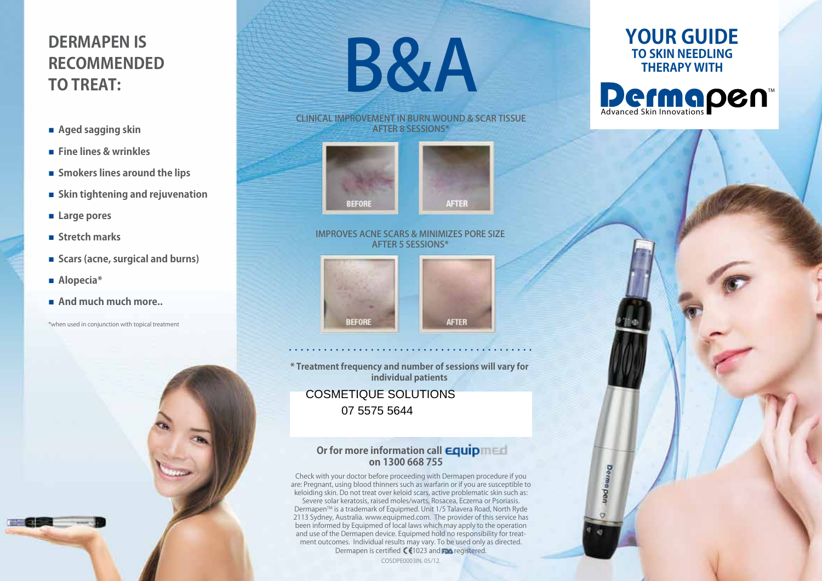# **DermApen is Recommended TO TREAT:**

- n **Aged sagging skin**
- n **Fine lines & wrinkles**
- $\blacksquare$  Smokers lines around the lips
- n **Skin tightening and rejuvenation**
- Large pores
- n **Stretch marks**
- Scars (acne, surgical and burns)
- Alopecia<sup>\*</sup>
- **n** And much much more...

\*when used in conjunction with topical treatment



CLINICAL IMPROVEMENT IN BURN WOUND & SCAR TISSUE AFTER 8 sessions\*





#### improves acne scars & minimizes pore size AFTER 5 sessions\*





**\* Treatment frequency and number of sessions will vary for individual patients**

COSMETIQUE SOLUTIONS 07 5575 5644

# **Or for more information call <b>Equip** med **on 1300 668 755**

Check with your doctor before proceeding with Dermapen procedure if you are: Pregnant, using blood thinners such as warfarin or if you are susceptible to keloiding skin. Do not treat over keloid scars, active problematic skin such as: Severe solar keratosis, raised moles/warts, Rosacea, Eczema or Psoriasis. Dermapen™ is a trademark of Equipmed. Unit 1/5 Talavera Road, North Ryde 2113 Sydney, Australia. www.equipmed.com. The provider of this service has been informed by Equipmed of local laws which may apply to the operation and use of the Dermapen device. Equipmed hold no responsibility for treatment outcomes. Individual results may vary. To be used only as directed. Dermapen is certified CC1023 and The registered.

COSDPE0003IN. 05/12.

# **Your guide to Skin Needling Therapy with**

Advanced Skin Innovations

**Dermapen** 

TM